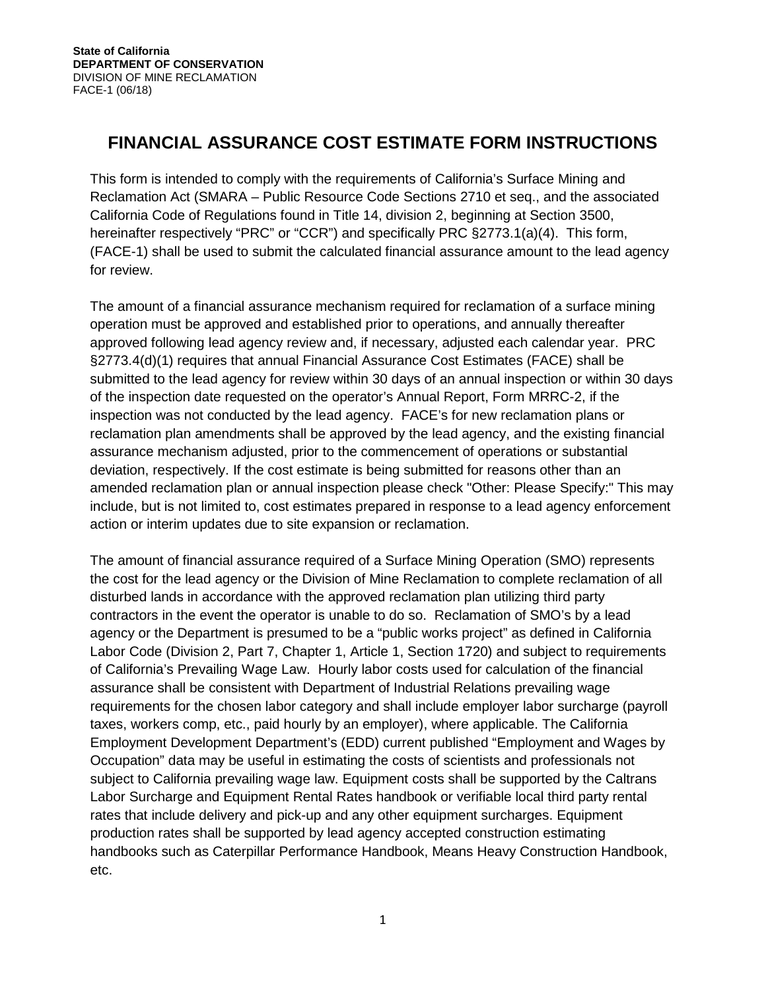# **FINANCIAL ASSURANCE COST ESTIMATE FORM INSTRUCTIONS**

This form is intended to comply with the requirements of California's Surface Mining and Reclamation Act (SMARA – Public Resource Code Sections 2710 et seq., and the associated California Code of Regulations found in Title 14, division 2, beginning at Section 3500, hereinafter respectively "PRC" or "CCR") and specifically PRC §2773.1(a)(4). This form, (FACE-1) shall be used to submit the calculated financial assurance amount to the lead agency for review.

The amount of a financial assurance mechanism required for reclamation of a surface mining operation must be approved and established prior to operations, and annually thereafter approved following lead agency review and, if necessary, adjusted each calendar year. PRC §2773.4(d)(1) requires that annual Financial Assurance Cost Estimates (FACE) shall be submitted to the lead agency for review within 30 days of an annual inspection or within 30 days of the inspection date requested on the operator's Annual Report, Form MRRC-2, if the inspection was not conducted by the lead agency. FACE's for new reclamation plans or reclamation plan amendments shall be approved by the lead agency, and the existing financial assurance mechanism adjusted, prior to the commencement of operations or substantial deviation, respectively. If the cost estimate is being submitted for reasons other than an amended reclamation plan or annual inspection please check "Other: Please Specify:" This may include, but is not limited to, cost estimates prepared in response to a lead agency enforcement action or interim updates due to site expansion or reclamation.

The amount of financial assurance required of a Surface Mining Operation (SMO) represents the cost for the lead agency or the Division of Mine Reclamation to complete reclamation of all disturbed lands in accordance with the approved reclamation plan utilizing third party contractors in the event the operator is unable to do so. Reclamation of SMO's by a lead agency or the Department is presumed to be a "public works project" as defined in California Labor Code (Division 2, Part 7, Chapter 1, Article 1, Section 1720) and subject to requirements of California's Prevailing Wage Law. Hourly labor costs used for calculation of the financial assurance shall be consistent with Department of Industrial Relations prevailing wage requirements for the chosen labor category and shall include employer labor surcharge (payroll taxes, workers comp, etc., paid hourly by an employer), where applicable. The California Employment Development Department's (EDD) current published "Employment and Wages by Occupation" data may be useful in estimating the costs of scientists and professionals not subject to California prevailing wage law. Equipment costs shall be supported by the Caltrans Labor Surcharge and Equipment Rental Rates handbook or verifiable local third party rental rates that include delivery and pick-up and any other equipment surcharges. Equipment production rates shall be supported by lead agency accepted construction estimating handbooks such as Caterpillar Performance Handbook, Means Heavy Construction Handbook, etc.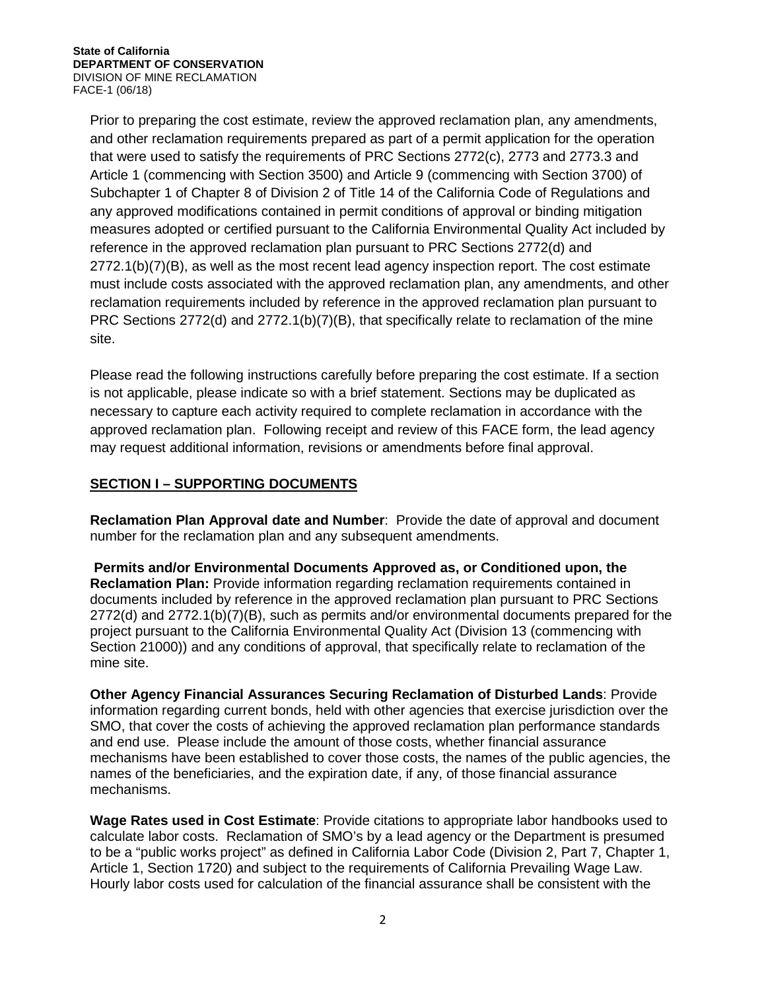Prior to preparing the cost estimate, review the approved reclamation plan, any amendments, and other reclamation requirements prepared as part of a permit application for the operation that were used to satisfy the requirements of PRC Sections 2772(c), 2773 and 2773.3 and Article 1 (commencing with Section 3500) and Article 9 (commencing with Section 3700) of Subchapter 1 of Chapter 8 of Division 2 of Title 14 of the California Code of Regulations and any approved modifications contained in permit conditions of approval or binding mitigation measures adopted or certified pursuant to the California Environmental Quality Act included by reference in the approved reclamation plan pursuant to PRC Sections 2772(d) and 2772.1(b)(7)(B), as well as the most recent lead agency inspection report. The cost estimate must include costs associated with the approved reclamation plan, any amendments, and other reclamation requirements included by reference in the approved reclamation plan pursuant to PRC Sections 2772(d) and 2772.1(b)(7)(B), that specifically relate to reclamation of the mine site.

Please read the following instructions carefully before preparing the cost estimate. If a section is not applicable, please indicate so with a brief statement. Sections may be duplicated as necessary to capture each activity required to complete reclamation in accordance with the approved reclamation plan. Following receipt and review of this FACE form, the lead agency may request additional information, revisions or amendments before final approval.

### **SECTION I – SUPPORTING DOCUMENTS**

**Reclamation Plan Approval date and Number**: Provide the date of approval and document number for the reclamation plan and any subsequent amendments.

**Permits and/or Environmental Documents Approved as, or Conditioned upon, the Reclamation Plan:** Provide information regarding reclamation requirements contained in documents included by reference in the approved reclamation plan pursuant to PRC Sections 2772(d) and 2772.1(b)(7)(B), such as permits and/or environmental documents prepared for the project pursuant to the California Environmental Quality Act (Division 13 (commencing with Section 21000)) and any conditions of approval, that specifically relate to reclamation of the mine site.

**Other Agency Financial Assurances Securing Reclamation of Disturbed Lands**: Provide information regarding current bonds, held with other agencies that exercise jurisdiction over the SMO, that cover the costs of achieving the approved reclamation plan performance standards and end use. Please include the amount of those costs, whether financial assurance mechanisms have been established to cover those costs, the names of the public agencies, the names of the beneficiaries, and the expiration date, if any, of those financial assurance mechanisms.

**Wage Rates used in Cost Estimate**: Provide citations to appropriate labor handbooks used to calculate labor costs. Reclamation of SMO's by a lead agency or the Department is presumed to be a "public works project" as defined in California Labor Code (Division 2, Part 7, Chapter 1, Article 1, Section 1720) and subject to the requirements of California Prevailing Wage Law. Hourly labor costs used for calculation of the financial assurance shall be consistent with the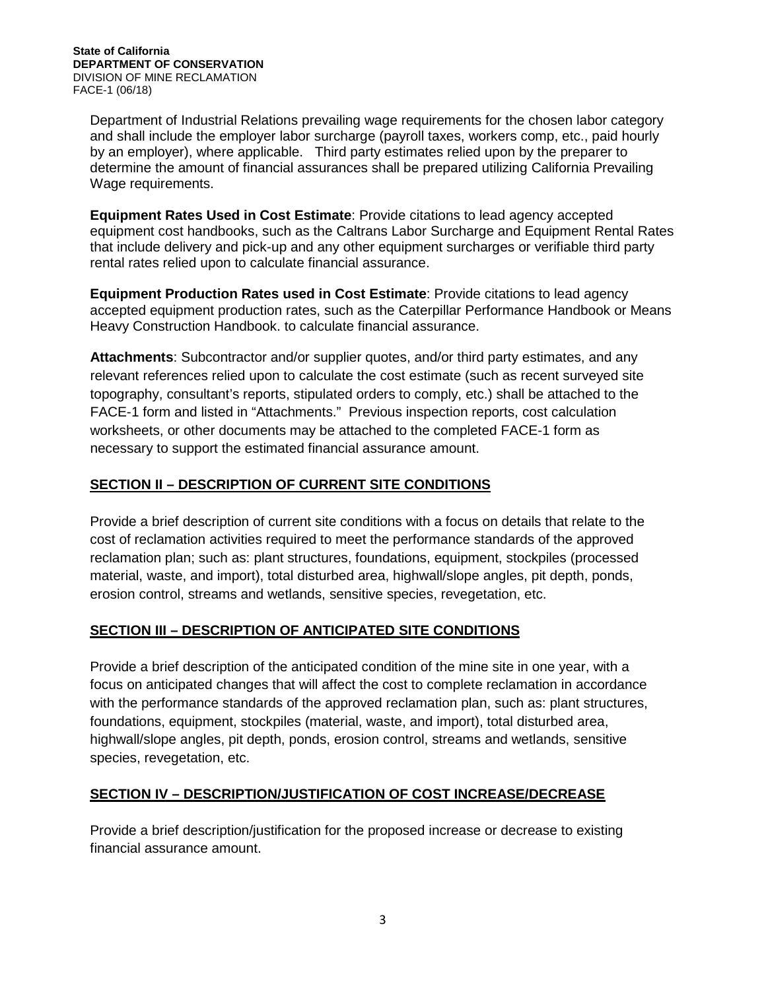**State of California DEPARTMENT OF CONSERVATION** DIVISION OF MINE RECLAMATION FACE-1 (06/18)

Department of Industrial Relations prevailing wage requirements for the chosen labor category and shall include the employer labor surcharge (payroll taxes, workers comp, etc., paid hourly by an employer), where applicable. Third party estimates relied upon by the preparer to determine the amount of financial assurances shall be prepared utilizing California Prevailing Wage requirements.

**Equipment Rates Used in Cost Estimate**: Provide citations to lead agency accepted equipment cost handbooks, such as the Caltrans Labor Surcharge and Equipment Rental Rates that include delivery and pick-up and any other equipment surcharges or verifiable third party rental rates relied upon to calculate financial assurance.

**Equipment Production Rates used in Cost Estimate**: Provide citations to lead agency accepted equipment production rates, such as the Caterpillar Performance Handbook or Means Heavy Construction Handbook. to calculate financial assurance.

**Attachments**: Subcontractor and/or supplier quotes, and/or third party estimates, and any relevant references relied upon to calculate the cost estimate (such as recent surveyed site topography, consultant's reports, stipulated orders to comply, etc.) shall be attached to the FACE-1 form and listed in "Attachments." Previous inspection reports, cost calculation worksheets, or other documents may be attached to the completed FACE-1 form as necessary to support the estimated financial assurance amount.

### **SECTION II – DESCRIPTION OF CURRENT SITE CONDITIONS**

Provide a brief description of current site conditions with a focus on details that relate to the cost of reclamation activities required to meet the performance standards of the approved reclamation plan; such as: plant structures, foundations, equipment, stockpiles (processed material, waste, and import), total disturbed area, highwall/slope angles, pit depth, ponds, erosion control, streams and wetlands, sensitive species, revegetation, etc.

### **SECTION III – DESCRIPTION OF ANTICIPATED SITE CONDITIONS**

Provide a brief description of the anticipated condition of the mine site in one year, with a focus on anticipated changes that will affect the cost to complete reclamation in accordance with the performance standards of the approved reclamation plan, such as: plant structures, foundations, equipment, stockpiles (material, waste, and import), total disturbed area, highwall/slope angles, pit depth, ponds, erosion control, streams and wetlands, sensitive species, revegetation, etc.

### **SECTION IV – DESCRIPTION/JUSTIFICATION OF COST INCREASE/DECREASE**

Provide a brief description/justification for the proposed increase or decrease to existing financial assurance amount.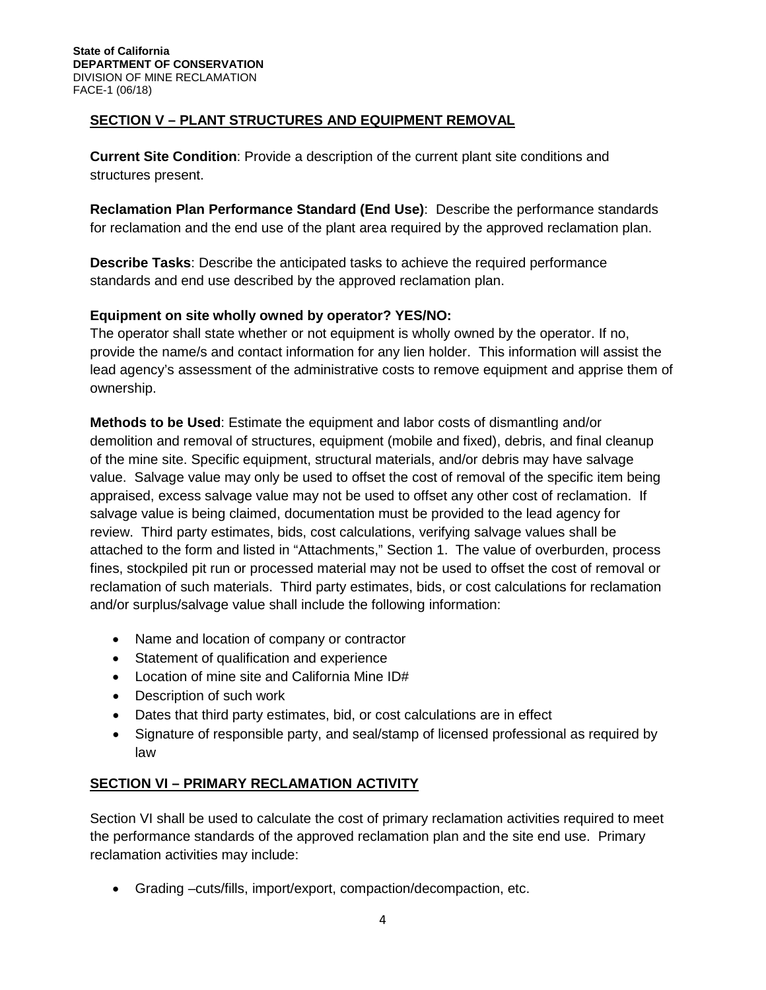# **SECTION V – PLANT STRUCTURES AND EQUIPMENT REMOVAL**

**Current Site Condition**: Provide a description of the current plant site conditions and structures present.

**Reclamation Plan Performance Standard (End Use)**: Describe the performance standards for reclamation and the end use of the plant area required by the approved reclamation plan.

**Describe Tasks**: Describe the anticipated tasks to achieve the required performance standards and end use described by the approved reclamation plan.

### **Equipment on site wholly owned by operator? YES/NO:**

The operator shall state whether or not equipment is wholly owned by the operator. If no, provide the name/s and contact information for any lien holder. This information will assist the lead agency's assessment of the administrative costs to remove equipment and apprise them of ownership.

**Methods to be Used**: Estimate the equipment and labor costs of dismantling and/or demolition and removal of structures, equipment (mobile and fixed), debris, and final cleanup of the mine site. Specific equipment, structural materials, and/or debris may have salvage value. Salvage value may only be used to offset the cost of removal of the specific item being appraised, excess salvage value may not be used to offset any other cost of reclamation. If salvage value is being claimed, documentation must be provided to the lead agency for review. Third party estimates, bids, cost calculations, verifying salvage values shall be attached to the form and listed in "Attachments," Section 1. The value of overburden, process fines, stockpiled pit run or processed material may not be used to offset the cost of removal or reclamation of such materials. Third party estimates, bids, or cost calculations for reclamation and/or surplus/salvage value shall include the following information:

- Name and location of company or contractor
- Statement of qualification and experience
- Location of mine site and California Mine ID#
- Description of such work
- Dates that third party estimates, bid, or cost calculations are in effect
- Signature of responsible party, and seal/stamp of licensed professional as required by law

### **SECTION VI – PRIMARY RECLAMATION ACTIVITY**

Section VI shall be used to calculate the cost of primary reclamation activities required to meet the performance standards of the approved reclamation plan and the site end use. Primary reclamation activities may include:

• Grading –cuts/fills, import/export, compaction/decompaction, etc.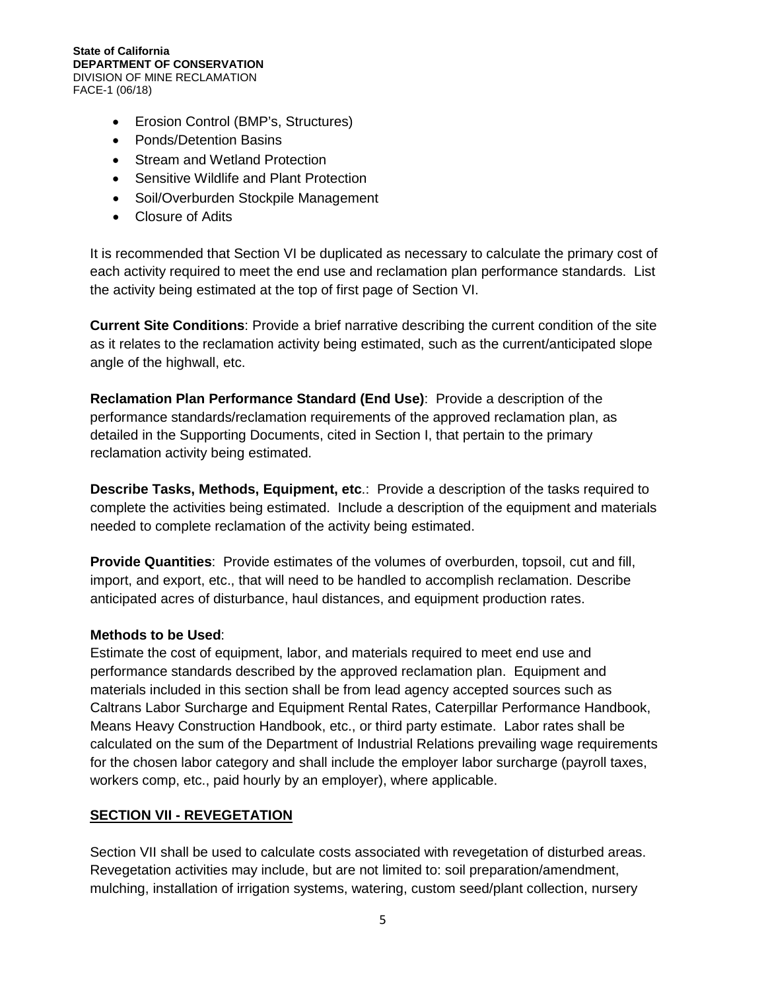#### **State of California DEPARTMENT OF CONSERVATION** DIVISION OF MINE RECLAMATION FACE-1 (06/18)

- Erosion Control (BMP's, Structures)
- Ponds/Detention Basins
- Stream and Wetland Protection
- Sensitive Wildlife and Plant Protection
- Soil/Overburden Stockpile Management
- Closure of Adits

It is recommended that Section VI be duplicated as necessary to calculate the primary cost of each activity required to meet the end use and reclamation plan performance standards. List the activity being estimated at the top of first page of Section VI.

**Current Site Conditions**: Provide a brief narrative describing the current condition of the site as it relates to the reclamation activity being estimated, such as the current/anticipated slope angle of the highwall, etc.

**Reclamation Plan Performance Standard (End Use)**: Provide a description of the performance standards/reclamation requirements of the approved reclamation plan, as detailed in the Supporting Documents, cited in Section I, that pertain to the primary reclamation activity being estimated.

**Describe Tasks, Methods, Equipment, etc**.: Provide a description of the tasks required to complete the activities being estimated. Include a description of the equipment and materials needed to complete reclamation of the activity being estimated.

**Provide Quantities**: Provide estimates of the volumes of overburden, topsoil, cut and fill, import, and export, etc., that will need to be handled to accomplish reclamation. Describe anticipated acres of disturbance, haul distances, and equipment production rates.

### **Methods to be Used**:

Estimate the cost of equipment, labor, and materials required to meet end use and performance standards described by the approved reclamation plan. Equipment and materials included in this section shall be from lead agency accepted sources such as Caltrans Labor Surcharge and Equipment Rental Rates, Caterpillar Performance Handbook, Means Heavy Construction Handbook, etc., or third party estimate. Labor rates shall be calculated on the sum of the Department of Industrial Relations prevailing wage requirements for the chosen labor category and shall include the employer labor surcharge (payroll taxes, workers comp, etc., paid hourly by an employer), where applicable.

### **SECTION VII - REVEGETATION**

Section VII shall be used to calculate costs associated with revegetation of disturbed areas. Revegetation activities may include, but are not limited to: soil preparation/amendment, mulching, installation of irrigation systems, watering, custom seed/plant collection, nursery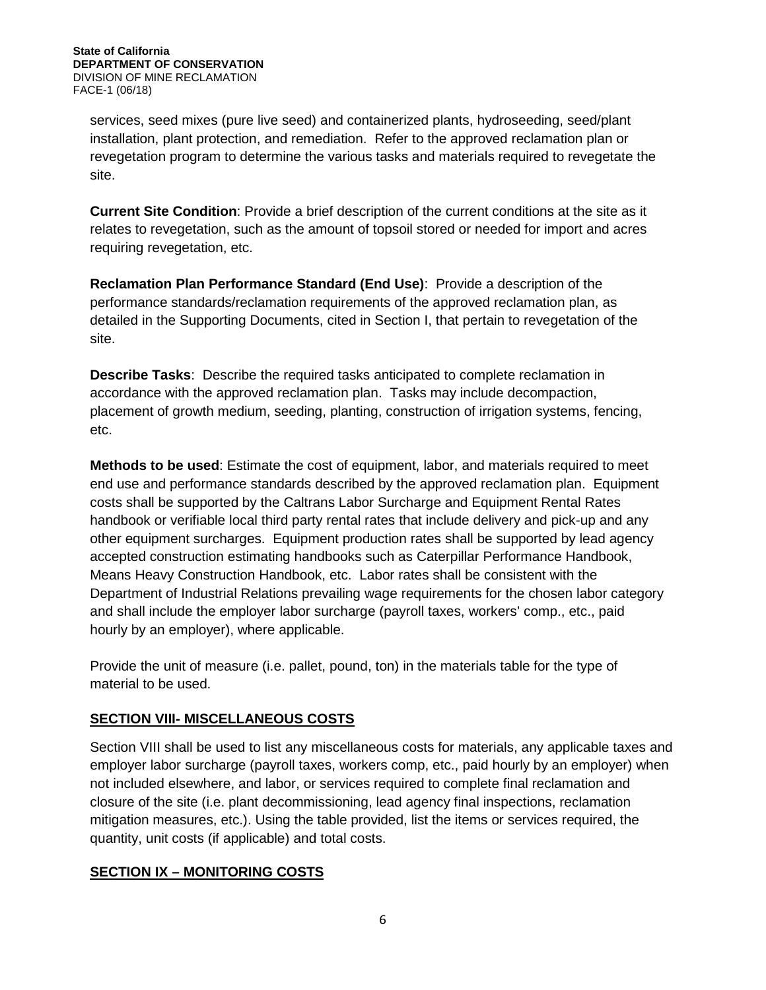services, seed mixes (pure live seed) and containerized plants, hydroseeding, seed/plant installation, plant protection, and remediation. Refer to the approved reclamation plan or revegetation program to determine the various tasks and materials required to revegetate the site.

**Current Site Condition**: Provide a brief description of the current conditions at the site as it relates to revegetation, such as the amount of topsoil stored or needed for import and acres requiring revegetation, etc.

**Reclamation Plan Performance Standard (End Use)**: Provide a description of the performance standards/reclamation requirements of the approved reclamation plan, as detailed in the Supporting Documents, cited in Section I, that pertain to revegetation of the site.

**Describe Tasks**: Describe the required tasks anticipated to complete reclamation in accordance with the approved reclamation plan. Tasks may include decompaction, placement of growth medium, seeding, planting, construction of irrigation systems, fencing, etc.

**Methods to be used**: Estimate the cost of equipment, labor, and materials required to meet end use and performance standards described by the approved reclamation plan. Equipment costs shall be supported by the Caltrans Labor Surcharge and Equipment Rental Rates handbook or verifiable local third party rental rates that include delivery and pick-up and any other equipment surcharges. Equipment production rates shall be supported by lead agency accepted construction estimating handbooks such as Caterpillar Performance Handbook, Means Heavy Construction Handbook, etc. Labor rates shall be consistent with the Department of Industrial Relations prevailing wage requirements for the chosen labor category and shall include the employer labor surcharge (payroll taxes, workers' comp., etc., paid hourly by an employer), where applicable.

Provide the unit of measure (i.e. pallet, pound, ton) in the materials table for the type of material to be used.

# **SECTION VIII- MISCELLANEOUS COSTS**

Section VIII shall be used to list any miscellaneous costs for materials, any applicable taxes and employer labor surcharge (payroll taxes, workers comp, etc., paid hourly by an employer) when not included elsewhere, and labor, or services required to complete final reclamation and closure of the site (i.e. plant decommissioning, lead agency final inspections, reclamation mitigation measures, etc.). Using the table provided, list the items or services required, the quantity, unit costs (if applicable) and total costs.

### **SECTION IX – MONITORING COSTS**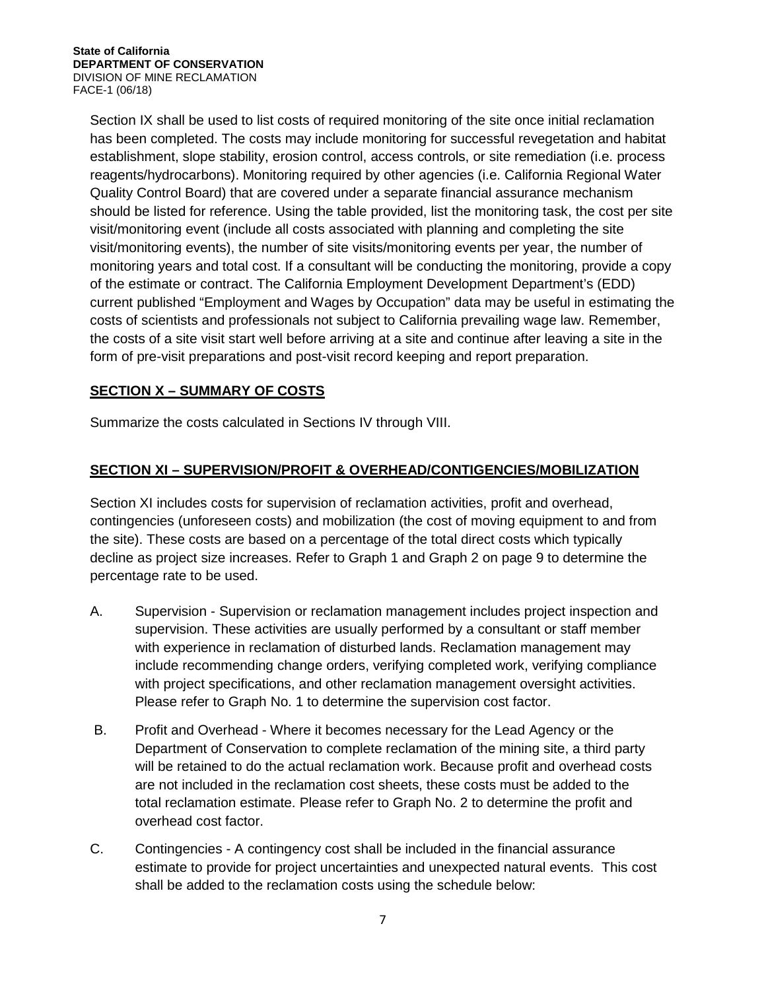Section IX shall be used to list costs of required monitoring of the site once initial reclamation has been completed. The costs may include monitoring for successful revegetation and habitat establishment, slope stability, erosion control, access controls, or site remediation (i.e. process reagents/hydrocarbons). Monitoring required by other agencies (i.e. California Regional Water Quality Control Board) that are covered under a separate financial assurance mechanism should be listed for reference. Using the table provided, list the monitoring task, the cost per site visit/monitoring event (include all costs associated with planning and completing the site visit/monitoring events), the number of site visits/monitoring events per year, the number of monitoring years and total cost. If a consultant will be conducting the monitoring, provide a copy of the estimate or contract. The California Employment Development Department's (EDD) current published "Employment and Wages by Occupation" data may be useful in estimating the costs of scientists and professionals not subject to California prevailing wage law. Remember, the costs of a site visit start well before arriving at a site and continue after leaving a site in the form of pre-visit preparations and post-visit record keeping and report preparation.

## **SECTION X – SUMMARY OF COSTS**

Summarize the costs calculated in Sections IV through VIII.

# **SECTION XI – SUPERVISION/PROFIT & OVERHEAD/CONTIGENCIES/MOBILIZATION**

Section XI includes costs for supervision of reclamation activities, profit and overhead, contingencies (unforeseen costs) and mobilization (the cost of moving equipment to and from the site). These costs are based on a percentage of the total direct costs which typically decline as project size increases. Refer to Graph 1 and Graph 2 on page 9 to determine the percentage rate to be used.

- A. Supervision Supervision or reclamation management includes project inspection and supervision. These activities are usually performed by a consultant or staff member with experience in reclamation of disturbed lands. Reclamation management may include recommending change orders, verifying completed work, verifying compliance with project specifications, and other reclamation management oversight activities. Please refer to Graph No. 1 to determine the supervision cost factor.
- B. Profit and Overhead Where it becomes necessary for the Lead Agency or the Department of Conservation to complete reclamation of the mining site, a third party will be retained to do the actual reclamation work. Because profit and overhead costs are not included in the reclamation cost sheets, these costs must be added to the total reclamation estimate. Please refer to Graph No. 2 to determine the profit and overhead cost factor.
- C. Contingencies A contingency cost shall be included in the financial assurance estimate to provide for project uncertainties and unexpected natural events. This cost shall be added to the reclamation costs using the schedule below: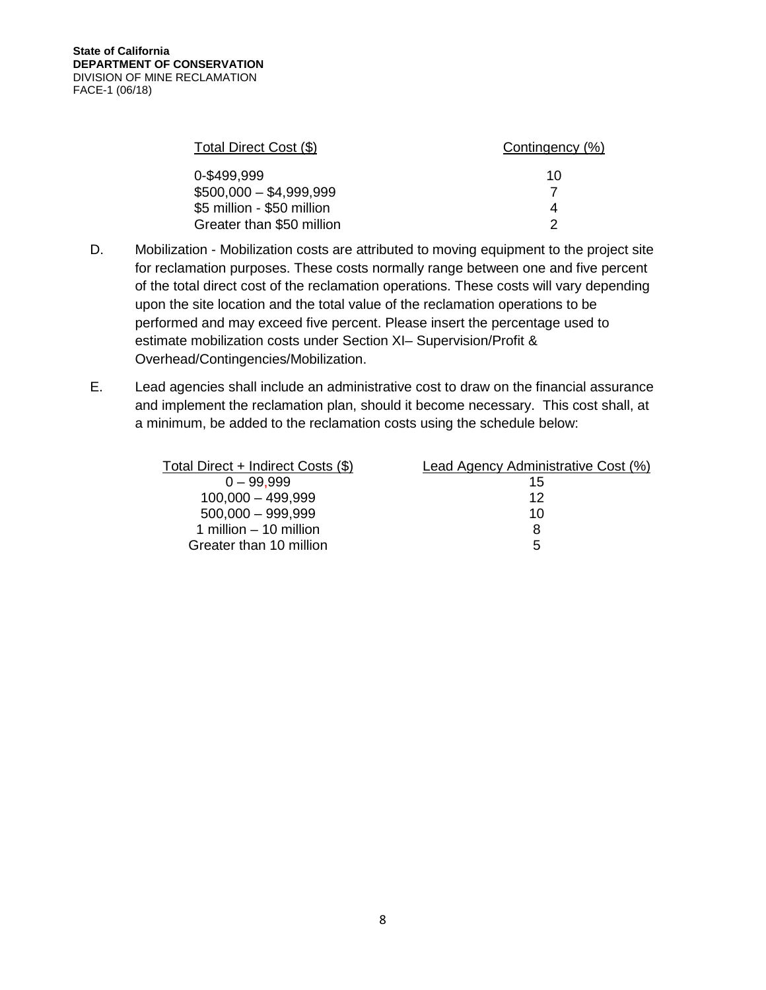| Total Direct Cost (\$)     | Contingency (%) |
|----------------------------|-----------------|
| 0-\$499.999                | 10              |
| $$500,000 - $4,999.999$    |                 |
| \$5 million - \$50 million |                 |
| Greater than \$50 million  |                 |

- D. Mobilization Mobilization costs are attributed to moving equipment to the project site for reclamation purposes. These costs normally range between one and five percent of the total direct cost of the reclamation operations. These costs will vary depending upon the site location and the total value of the reclamation operations to be performed and may exceed five percent. Please insert the percentage used to estimate mobilization costs under Section XI– Supervision/Profit & Overhead/Contingencies/Mobilization.
- E. Lead agencies shall include an administrative cost to draw on the financial assurance and implement the reclamation plan, should it become necessary. This cost shall, at a minimum, be added to the reclamation costs using the schedule below:

| Total Direct + Indirect Costs (\$) | Lead Agency Administrative Cost (%) |
|------------------------------------|-------------------------------------|
| $0 - 99.999$                       | 15                                  |
| $100,000 - 499,999$                | 12                                  |
| $500,000 - 999,999$                | 10                                  |
| 1 million $-$ 10 million           |                                     |
| Greater than 10 million            | $\mathbf{b}$                        |